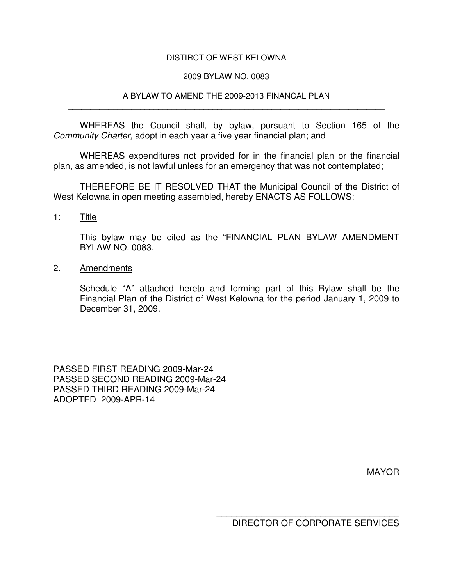## DISTIRCT OF WEST KELOWNA

## 2009 BYLAW NO. 0083

### A BYLAW TO AMEND THE 2009-2013 FINANCAL PLAN \_\_\_\_\_\_\_\_\_\_\_\_\_\_\_\_\_\_\_\_\_\_\_\_\_\_\_\_\_\_\_\_\_\_\_\_\_\_\_\_\_\_\_\_\_\_\_\_\_\_\_\_\_\_\_\_\_\_\_\_\_\_\_\_\_\_\_\_\_\_

WHEREAS the Council shall, by bylaw, pursuant to Section 165 of the *Community Charter,* adopt in each year a five year financial plan; and

WHEREAS expenditures not provided for in the financial plan or the financial plan, as amended, is not lawful unless for an emergency that was not contemplated;

THEREFORE BE IT RESOLVED THAT the Municipal Council of the District of West Kelowna in open meeting assembled, hereby ENACTS AS FOLLOWS:

1: Title

This bylaw may be cited as the "FINANCIAL PLAN BYLAW AMENDMENT BYLAW NO. 0083.

2. Amendments

Schedule "A" attached hereto and forming part of this Bylaw shall be the Financial Plan of the District of West Kelowna for the period January 1, 2009 to December 31, 2009.

PASSED FIRST READING 2009-Mar-24 PASSED SECOND READING 2009-Mar-24 PASSED THIRD READING 2009-Mar-24 ADOPTED 2009-APR-14

MAYOR

\_\_\_\_\_\_\_\_\_\_\_\_\_\_\_\_\_\_\_\_\_\_\_\_\_\_\_\_\_\_\_\_\_\_\_\_\_ DIRECTOR OF CORPORATE SERVICES

\_\_\_\_\_\_\_\_\_\_\_\_\_\_\_\_\_\_\_\_\_\_\_\_\_\_\_\_\_\_\_\_\_\_\_\_\_\_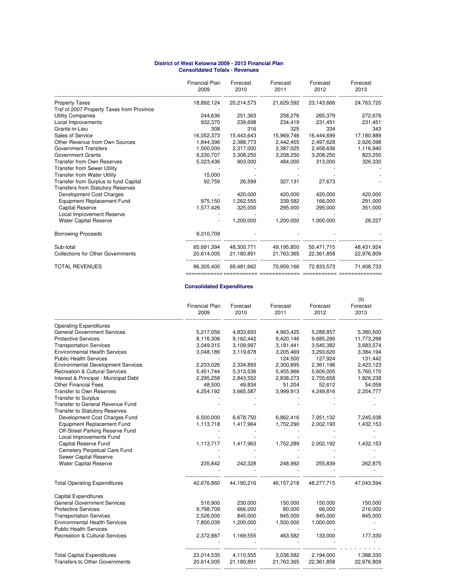#### **Consolidated Totals - Revenues District of West Kelowna 2009 - 2013 Financial Plan**

|                                           | <b>Financial Plan</b><br>2009 | Forecast<br>2010 | Forecast<br>2011 | Forecast<br>2012 | Forecast<br>2013 |
|-------------------------------------------|-------------------------------|------------------|------------------|------------------|------------------|
| <b>Property Taxes</b>                     | 18,892,124                    | 20,214,573       | 21,629,592       | 23,143,666       | 24,763,720       |
| Trsf of 2007 Property Taxes from Province |                               |                  |                  |                  |                  |
| <b>Utility Companies</b>                  | 244,636                       | 251,363          | 258,276          | 265,379          | 272,676          |
| Local Improvements                        | 932,370                       | 239,698          | 234,419          | 231,451          | 231,451          |
| Grants-in-Lieu                            | 308                           | 316              | 325              | 334              | 343              |
| Sales of Service                          | 16,052,373                    | 15,443,643       | 15,969,746       | 16,444,699       | 17,180,889       |
| Other Revenue from Own Sources            | 1.844.396                     | 2,388,773        | 2,442,455        | 2,497,628        | 2,626,098        |
| <b>Government Transfers</b>               | 1,500,000                     | 2,317,000        | 2,387,025        | 2,458,636        | 1,116,940        |
| <b>Government Grants</b>                  | 9,230,707                     | 3,308,250        | 3,208,250        | 3,208,250        | 823,250          |
| <b>Transfer from Own Reserves</b>         | 5,023,436                     | 903,000          | 484,000          | 313,000          | 326,330          |
| <b>Transfer from Sewer Utility</b>        |                               |                  |                  |                  |                  |
| <b>Transfer from Water Utility</b>        | 15,000                        |                  |                  |                  |                  |
| Transfer from Surplus to fund Capital     | 92,759                        | 26,599           | 327,131          | 27,673           |                  |
| <b>Transfers from Statutory Reserves</b>  |                               |                  |                  |                  |                  |
| Development Cost Charges                  |                               | 420,000          | 420,000          | 420,000          | 420,000          |
| Equipment Replacement Fund                | 975.150                       | 1,262,555        | 339,582          | 166,000          | 291,000          |
| <b>Capital Reserve</b>                    | 1,577,426                     | 325,000          | 295,000          | 295,000          | 351,000          |
| Local Improvement Reserve                 |                               |                  |                  |                  |                  |
| <b>Water Capital Reserve</b>              |                               | 1,200,000        | 1,200,000        | 1,000,000        | 28,227           |
| <b>Borrowing Proceeds</b>                 | 9,310,709                     |                  |                  |                  |                  |
| Sub-total                                 | 65,691,394                    | 48,300,771       | 49,195,800       | 50,471,715       | 48,431,924       |
| <b>Collections for Other Governments</b>  | 20,614,005                    | 21,180,891       | 21,763,365       | 22,361,858       | 22,976,809       |
| <b>TOTAL REVENUES</b>                     | 86,305,400                    | 69,481,662       | 70,959,166       | 72,833,573       | 71,408,733       |
|                                           |                               |                  |                  |                  |                  |

### **Consolidated Expenditures**

|                                           | <b>Financial Plan</b><br>2009 | Forecast<br>2010 | Forecast<br>2011 | Forecast<br>2012 | (ii)<br>Forecast<br>2013 |
|-------------------------------------------|-------------------------------|------------------|------------------|------------------|--------------------------|
| <b>Operating Expenditures</b>             |                               |                  |                  |                  |                          |
| <b>General Government Services</b>        | 5,217,056                     | 4,833,693        | 4,963,425        | 5,288,857        | 5,380,500                |
| <b>Protective Services</b>                | 8,116,306                     | 9,162,442        | 9,420,146        | 9,685,290        | 11,773,298               |
| <b>Transportation Services</b>            | 3,049,315                     | 3,109,997        | 3,181,441        | 3,545,382        | 3,683,574                |
| <b>Environmental Health Services</b>      | 3,048,186                     | 3,119,678        | 3,205,469        | 3,293,620        | 3,384,194                |
| <b>Public Health Services</b>             |                               |                  | 124,500          | 127,924          | 131,442                  |
| <b>Environmental Development Services</b> | 2,233,026                     | 2,334,893        | 2,300,895        | 2,361,196        | 2,423,123                |
| <b>Recreation &amp; Cultural Services</b> | 5,451,744                     | 5,313,536        | 5,455,966        | 5,606,005        | 5,760,170                |
| Interest & Principal - Municipal Debt     | 2,295,258                     | 2,843,552        | 2,838,273        | 2,755,658        | 1,826,238                |
| <b>Other Financial Fees</b>               | 48,500                        | 49,834           | 51,204           | 52,612           | 54,059                   |
| Transfer to Own Reserves                  | 4,254,192                     | 3,665,587        | 3,999,913        | 4,249,816        | 2,254,777                |
| <b>Transfer to Surplus</b>                |                               |                  |                  |                  |                          |
| Transfer to General Revenue Fund          |                               |                  |                  |                  |                          |
| <b>Transfer to Statutory Reserves</b>     |                               |                  |                  |                  |                          |
| Development Cost Charges Fund             | 6,500,000                     | 6,678,750        | 6,862,416        | 7,051,132        | 7,245,038                |
| <b>Equipment Replacement Fund</b>         | 1,113,718                     | 1,417,964        | 1,752,290        | 2,002,193        | 1,432,153                |
| Off-Street Parking Reserve Fund           |                               |                  |                  |                  |                          |
| Local Improvements Fund                   |                               |                  |                  |                  |                          |
| Capital Reserve Fund                      | 1,113,717                     | 1,417,963        | 1,752,289        | 2,002,192        | 1,432,153                |
| Cemetery Perpetual Care Fund              |                               |                  |                  |                  |                          |
| Sewer Capital Reserve                     |                               |                  |                  |                  |                          |
| <b>Water Capital Reserve</b>              | 235,842                       | 242,328          | 248,992          | 255,839          | 262,875                  |
|                                           |                               |                  |                  |                  |                          |
| <b>Total Operating Expenditures</b>       | 42,676,860                    | 44,190,216       | 46, 157, 218     | 48,277,715       | 47,043,594               |
| <b>Capital Expenditures</b>               |                               |                  |                  |                  |                          |
| <b>General Government Services</b>        | 516,900                       | 230,000          | 150,000          | 150,000          | 150,000                  |
| <b>Protective Services</b>                | 9,798,709                     | 666,000          | 80,000           | 66,000           | 216,000                  |
| <b>Transportation Services</b>            | 2,526,000                     | 845,000          | 845,000          | 845,000          | 845,000                  |
| <b>Environmental Health Services</b>      | 7,800,039                     | 1,200,000        | 1,500,000        | 1,000,000        |                          |
| <b>Public Health Services</b>             |                               |                  |                  |                  |                          |
| <b>Recreation &amp; Cultural Services</b> | 2,372,887                     | 1,169,555        | 463,582          | 133,000          | 177,330                  |
|                                           |                               |                  |                  |                  |                          |
| <b>Total Capital Expenditures</b>         | 23,014,535                    | 4,110,555        | 3,038,582        | 2,194,000        | 1,388,330                |
| <b>Transfers to Other Governments</b>     | 20,614,005                    | 21,180,891       | 21,763,365       | 22,361,858       | 22,976,809               |

-------------------- ------------------- ----------------------- ------------------- -------------------------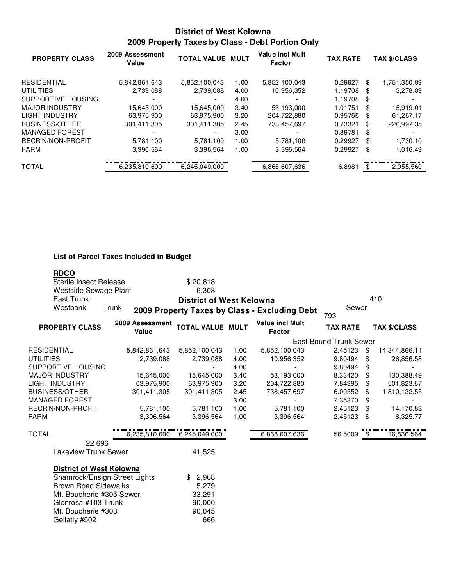# **District of West Kelowna 2009 Property Taxes by Class - Debt Portion Only**

| <b>PROPERTY CLASS</b> | 2009 Assessment<br>Value | <b>TOTAL VALUE MULT</b>  |      | <b>Value incl Mult</b><br>Factor | <b>TAX RATE</b> |    | <b>TAX \$/CLASS</b> |
|-----------------------|--------------------------|--------------------------|------|----------------------------------|-----------------|----|---------------------|
| <b>RESIDENTIAL</b>    | 5,842,861,643            | 5,852,100,043            | 1.00 | 5,852,100,043                    | 0.29927         | \$ | 1,751,350.99        |
| <b>UTILITIES</b>      | 2,739,088                | 2,739,088                | 4.00 | 10,956,352                       | 1.19708         | S. | 3,278.89            |
| SUPPORTIVE HOUSING    |                          |                          | 4.00 |                                  | 1.19708         | \$ |                     |
| <b>MAJOR INDUSTRY</b> | 15,645,000               | 15,645,000               | 3.40 | 53,193,000                       | 1.01751         | \$ | 15,919.01           |
| LIGHT INDUSTRY        | 63,975,900               | 63,975,900               | 3.20 | 204,722,880                      | 0.95766         | \$ | 61,267.17           |
| <b>BUSINESS/OTHER</b> | 301.411.305              | 301,411,305              | 2.45 | 738,457,697                      | 0.73321         | \$ | 220.997.35          |
| <b>MANAGED FOREST</b> |                          | $\overline{\phantom{a}}$ | 3.00 |                                  | 0.89781         | \$ |                     |
| RECR'N/NON-PROFIT     | 5,781,100                | 5.781.100                | 1.00 | 5.781.100                        | 0.29927         | \$ | 1,730.10            |
| FARM                  | 3,396,564                | 3,396,564                | 1.00 | 3,396,564                        | 0.29927         | \$ | 1,016.49            |
| <b>TOTAL</b>          | 6,235,810,600            | 6,245,049,000            |      | 6,868,607,636                    | 6.8981          | \$ | 2,055,560           |

## **List of Parcel Taxes Included in Budget**

| <b>RDCO</b>                     |                          |                                 |                         |      |                                               |                        |      |                     |
|---------------------------------|--------------------------|---------------------------------|-------------------------|------|-----------------------------------------------|------------------------|------|---------------------|
| <b>Sterile Insect Release</b>   |                          |                                 | \$20,818                |      |                                               |                        |      |                     |
| Westside Sewage Plant           |                          |                                 | 6,308                   |      |                                               |                        |      |                     |
| East Trunk                      |                          | <b>District of West Kelowna</b> |                         |      |                                               |                        | 410  |                     |
| Westbank                        | Trunk                    |                                 |                         |      | 2009 Property Taxes by Class - Excluding Debt | Sewer<br>793           |      |                     |
| <b>PROPERTY CLASS</b>           | 2009 Assessment<br>Value |                                 | <b>TOTAL VALUE MULT</b> |      | <b>Value incl Mult</b><br><b>Factor</b>       | <b>TAX RATE</b>        |      | <b>TAX \$/CLASS</b> |
|                                 |                          |                                 |                         |      |                                               | East Bound Trunk Sewer |      |                     |
| RESIDENTIAL                     |                          | 5,842,861,643                   | 5,852,100,043           | 1.00 | 5,852,100,043                                 | 2.45123                | -\$  | 14,344,866.11       |
| UTILITIES                       |                          | 2,739,088                       | 2,739,088               | 4.00 | 10,956,352                                    | 9.80494                | \$   | 26,856.58           |
| SUPPORTIVE HOUSING              |                          |                                 |                         | 4.00 |                                               | 9.80494                | \$   |                     |
| MAJOR INDUSTRY                  |                          | 15,645,000                      | 15,645,000              | 3.40 | 53,193,000                                    | 8.33420                | \$   | 130,388.49          |
| LIGHT INDUSTRY                  |                          | 63,975,900                      | 63,975,900              | 3.20 | 204,722,880                                   | 7.84395                | \$   | 501,823.67          |
| BUSINESS/OTHER                  |                          | 301,411,305                     | 301,411,305             | 2.45 | 738,457,697                                   | 6.00552                | \$   | 1,810,132.55        |
| <b>MANAGED FOREST</b>           |                          |                                 |                         | 3.00 |                                               | 7.35370                | \$   |                     |
| RECR'N/NON-PROFIT               |                          | 5,781,100                       | 5,781,100               | 1.00 | 5,781,100                                     | 2.45123                | \$   | 14,170.83           |
| FARM                            |                          | 3,396,564                       | 3,396,564               | 1.00 | 3,396,564                                     | 2.45123                | \$   | 8,325.77            |
| TOTAL                           |                          | 6,235,810,600                   | 6,245,049,000           |      | 6,868,607,636                                 | 56.5009                | - \$ | 16,836,564          |
| 22 696<br>Lakeview Trunk Sewer  |                          |                                 | 41,525                  |      |                                               |                        |      |                     |
|                                 |                          |                                 |                         |      |                                               |                        |      |                     |
| <b>District of West Kelowna</b> |                          |                                 |                         |      |                                               |                        |      |                     |
| Shamrock/Ensign Street Lights   |                          |                                 | \$2,968                 |      |                                               |                        |      |                     |
| <b>Brown Road Sidewalks</b>     |                          |                                 | 5,279                   |      |                                               |                        |      |                     |
| Mt. Boucherie #305 Sewer        |                          |                                 | 33,291                  |      |                                               |                        |      |                     |
| Glenrosa #103 Trunk             |                          |                                 | 90,000                  |      |                                               |                        |      |                     |
| Mt. Boucherie #303              |                          |                                 | 90,045                  |      |                                               |                        |      |                     |
| Gellatly #502                   |                          |                                 | 666                     |      |                                               |                        |      |                     |